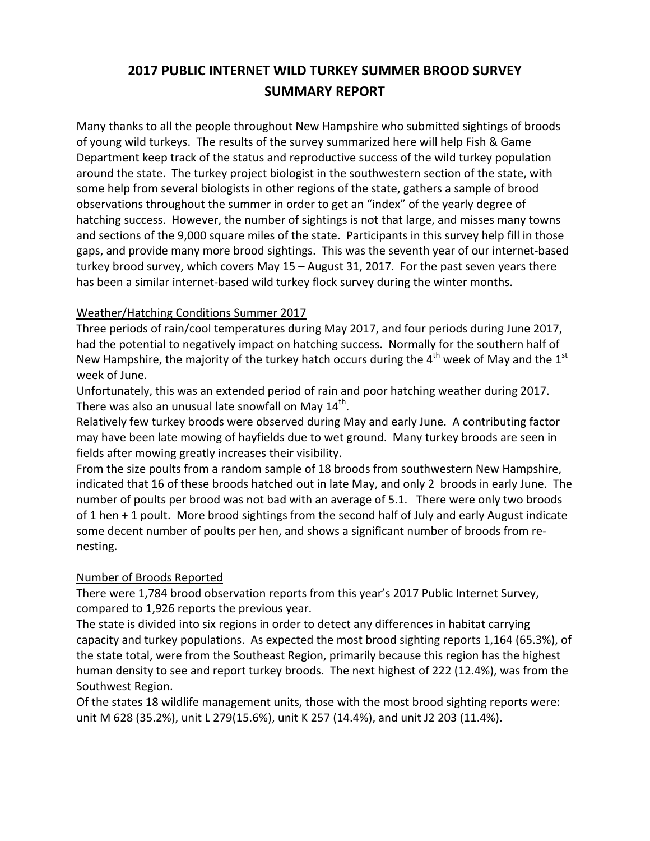# **2017 PUBLIC INTERNET WILD TURKEY SUMMER BROOD SURVEY SUMMARY REPORT**

Many thanks to all the people throughout New Hampshire who submitted sightings of broods of young wild turkeys. The results of the survey summarized here will help Fish & Game Department keep track of the status and reproductive success of the wild turkey population around the state. The turkey project biologist in the southwestern section of the state, with some help from several biologists in other regions of the state, gathers a sample of brood observations throughout the summer in order to get an "index" of the yearly degree of hatching success. However, the number of sightings is not that large, and misses many towns and sections of the 9,000 square miles of the state. Participants in this survey help fill in those gaps, and provide many more brood sightings. This was the seventh year of our internet‐based turkey brood survey, which covers May 15 – August 31, 2017. For the past seven years there has been a similar internet-based wild turkey flock survey during the winter months.

#### Weather/Hatching Conditions Summer 2017

Three periods of rain/cool temperatures during May 2017, and four periods during June 2017, had the potential to negatively impact on hatching success. Normally for the southern half of New Hampshire, the majority of the turkey hatch occurs during the  $4<sup>th</sup>$  week of May and the  $1<sup>st</sup>$ week of June.

Unfortunately, this was an extended period of rain and poor hatching weather during 2017. There was also an unusual late snowfall on May  $14<sup>th</sup>$ .

Relatively few turkey broods were observed during May and early June. A contributing factor may have been late mowing of hayfields due to wet ground. Many turkey broods are seen in fields after mowing greatly increases their visibility.

From the size poults from a random sample of 18 broods from southwestern New Hampshire, indicated that 16 of these broods hatched out in late May, and only 2 broods in early June. The number of poults per brood was not bad with an average of 5.1. There were only two broods of 1 hen + 1 poult. More brood sightings from the second half of July and early August indicate some decent number of poults per hen, and shows a significant number of broods from re‐ nesting.

#### Number of Broods Reported

There were 1,784 brood observation reports from this year's 2017 Public Internet Survey, compared to 1,926 reports the previous year.

The state is divided into six regions in order to detect any differences in habitat carrying capacity and turkey populations. As expected the most brood sighting reports 1,164 (65.3%), of the state total, were from the Southeast Region, primarily because this region has the highest human density to see and report turkey broods. The next highest of 222 (12.4%), was from the Southwest Region.

Of the states 18 wildlife management units, those with the most brood sighting reports were: unit M 628 (35.2%), unit L 279(15.6%), unit K 257 (14.4%), and unit J2 203 (11.4%).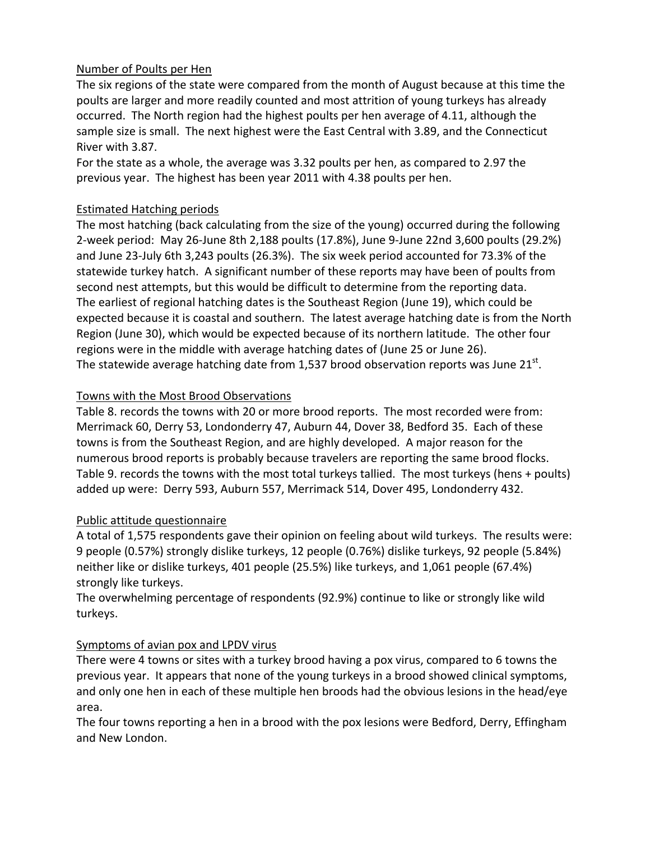#### Number of Poults per Hen

The six regions of the state were compared from the month of August because at this time the poults are larger and more readily counted and most attrition of young turkeys has already occurred. The North region had the highest poults per hen average of 4.11, although the sample size is small. The next highest were the East Central with 3.89, and the Connecticut River with 3.87.

For the state as a whole, the average was 3.32 poults per hen, as compared to 2.97 the previous year. The highest has been year 2011 with 4.38 poults per hen.

#### Estimated Hatching periods

The most hatching (back calculating from the size of the young) occurred during the following 2‐week period: May 26‐June 8th 2,188 poults (17.8%), June 9‐June 22nd 3,600 poults (29.2%) and June 23‐July 6th 3,243 poults (26.3%). The six week period accounted for 73.3% of the statewide turkey hatch. A significant number of these reports may have been of poults from second nest attempts, but this would be difficult to determine from the reporting data. The earliest of regional hatching dates is the Southeast Region (June 19), which could be expected because it is coastal and southern. The latest average hatching date is from the North Region (June 30), which would be expected because of its northern latitude. The other four regions were in the middle with average hatching dates of (June 25 or June 26). The statewide average hatching date from 1,537 brood observation reports was June  $21^{st}$ .

#### Towns with the Most Brood Observations

Table 8. records the towns with 20 or more brood reports. The most recorded were from: Merrimack 60, Derry 53, Londonderry 47, Auburn 44, Dover 38, Bedford 35. Each of these towns is from the Southeast Region, and are highly developed. A major reason for the numerous brood reports is probably because travelers are reporting the same brood flocks. Table 9. records the towns with the most total turkeys tallied. The most turkeys (hens + poults) added up were: Derry 593, Auburn 557, Merrimack 514, Dover 495, Londonderry 432.

#### Public attitude questionnaire

A total of 1,575 respondents gave their opinion on feeling about wild turkeys. The results were: 9 people (0.57%) strongly dislike turkeys, 12 people (0.76%) dislike turkeys, 92 people (5.84%) neither like or dislike turkeys, 401 people (25.5%) like turkeys, and 1,061 people (67.4%) strongly like turkeys.

The overwhelming percentage of respondents (92.9%) continue to like or strongly like wild turkeys.

#### Symptoms of avian pox and LPDV virus

There were 4 towns or sites with a turkey brood having a pox virus, compared to 6 towns the previous year. It appears that none of the young turkeys in a brood showed clinical symptoms, and only one hen in each of these multiple hen broods had the obvious lesions in the head/eye area.

The four towns reporting a hen in a brood with the pox lesions were Bedford, Derry, Effingham and New London.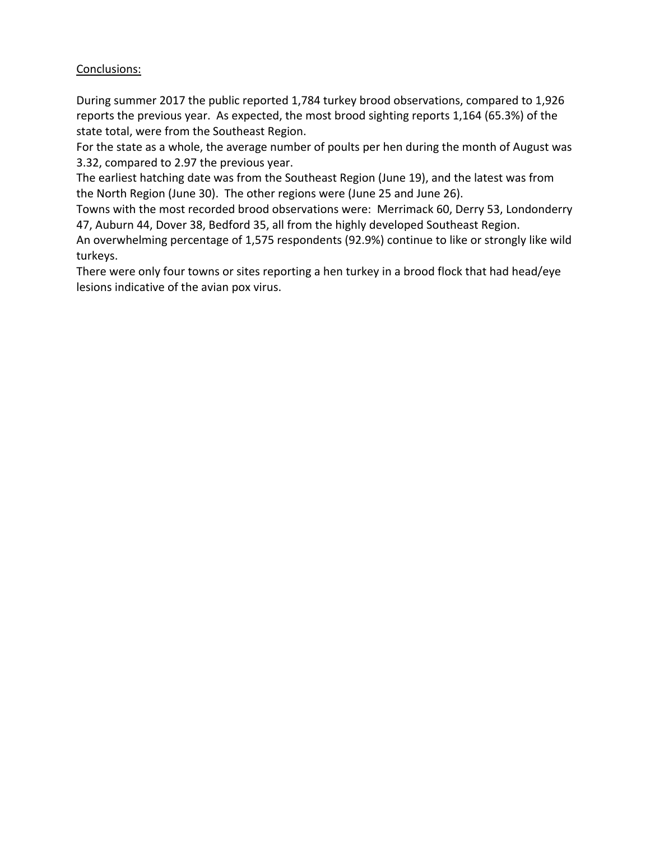#### Conclusions:

During summer 2017 the public reported 1,784 turkey brood observations, compared to 1,926 reports the previous year. As expected, the most brood sighting reports 1,164 (65.3%) of the state total, were from the Southeast Region.

For the state as a whole, the average number of poults per hen during the month of August was 3.32, compared to 2.97 the previous year.

The earliest hatching date was from the Southeast Region (June 19), and the latest was from the North Region (June 30). The other regions were (June 25 and June 26).

Towns with the most recorded brood observations were: Merrimack 60, Derry 53, Londonderry 47, Auburn 44, Dover 38, Bedford 35, all from the highly developed Southeast Region.

An overwhelming percentage of 1,575 respondents (92.9%) continue to like or strongly like wild turkeys.

There were only four towns or sites reporting a hen turkey in a brood flock that had head/eye lesions indicative of the avian pox virus.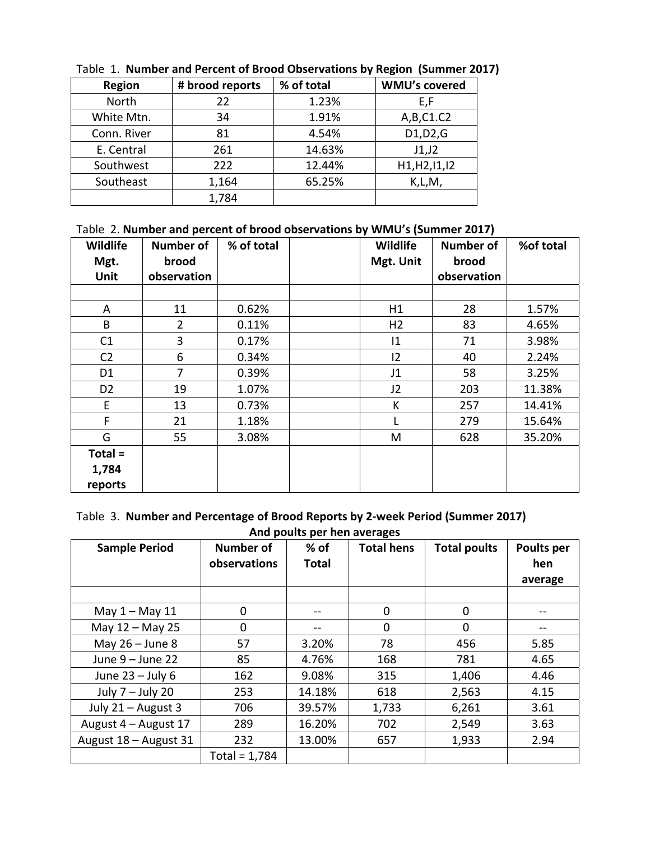| <b>Region</b> | % of total<br># brood reports |        | <b>WMU's covered</b> |  |
|---------------|-------------------------------|--------|----------------------|--|
| North         | 22                            | 1.23%  | E,F                  |  |
| White Mtn.    | 34                            | 1.91%  | A,B,C1.C2            |  |
| Conn. River   | 81                            | 4.54%  | D1, D2, G            |  |
| E. Central    | 261                           | 14.63% | J1,J2                |  |
| Southwest     | 222                           | 12.44% | H1, H2, I1, I2       |  |
| Southeast     | 1,164                         | 65.25% | K,L,M,               |  |
|               | 1,784                         |        |                      |  |

Table 1. **Number and Percent of Brood Observations by Region (Summer 2017)** 

# Table 2. **Number and percent of brood observations by WMU's (Summer 2017)**

| Wildlife<br>Mgt. | <b>Number of</b><br>brood | % of total | Wildlife<br>Mgt. Unit | <b>Number of</b><br>brood | %of total |
|------------------|---------------------------|------------|-----------------------|---------------------------|-----------|
| <b>Unit</b>      | observation               |            |                       | observation               |           |
|                  |                           |            |                       |                           |           |
| A                | 11                        | 0.62%      | H1                    | 28                        | 1.57%     |
| B                | $\overline{2}$            | 0.11%      | H <sub>2</sub>        | 83                        | 4.65%     |
| C1               | 3                         | 0.17%      | 1                     | 71                        | 3.98%     |
| C <sub>2</sub>   | 6                         | 0.34%      | 12                    | 40                        | 2.24%     |
| D <sub>1</sub>   | 7                         | 0.39%      | J1                    | 58                        | 3.25%     |
| D <sub>2</sub>   | 19                        | 1.07%      | J2                    | 203                       | 11.38%    |
| E                | 13                        | 0.73%      | К                     | 257                       | 14.41%    |
| F                | 21                        | 1.18%      |                       | 279                       | 15.64%    |
| G                | 55                        | 3.08%      | M                     | 628                       | 35.20%    |
| $Total =$        |                           |            |                       |                           |           |
| 1,784            |                           |            |                       |                           |           |
| reports          |                           |            |                       |                           |           |

#### Table 3. **Number and Percentage of Brood Reports by 2‐week Period (Summer 2017) And poults per hen averages**

| <b>Sample Period</b>  | <b>Number of</b><br>observations | $%$ of<br><b>Total</b> | <b>Total hens</b> | <b>Total poults</b> | Poults per<br>hen<br>average |
|-----------------------|----------------------------------|------------------------|-------------------|---------------------|------------------------------|
|                       |                                  |                        |                   |                     |                              |
| May $1 -$ May $11$    | 0                                | --                     | 0                 | 0                   |                              |
| May 12 - May 25       | 0                                |                        | 0                 | 0                   |                              |
| May $26 -$ June 8     | 57                               | 3.20%                  | 78                | 456                 | 5.85                         |
| June 9 - June 22      | 85                               | 4.76%                  | 168               | 781                 | 4.65                         |
| June $23 -$ July 6    | 162                              | 9.08%                  | 315               | 1,406               | 4.46                         |
| July $7 -$ July 20    | 253                              | 14.18%                 | 618               | 2,563               | 4.15                         |
| July 21 - August 3    | 706                              | 39.57%                 | 1,733             | 6,261               | 3.61                         |
| August 4 - August 17  | 289                              | 16.20%                 | 702               | 2,549               | 3.63                         |
| August 18 - August 31 | 232                              | 13.00%                 | 657               | 1,933               | 2.94                         |
|                       | Total = $1,784$                  |                        |                   |                     |                              |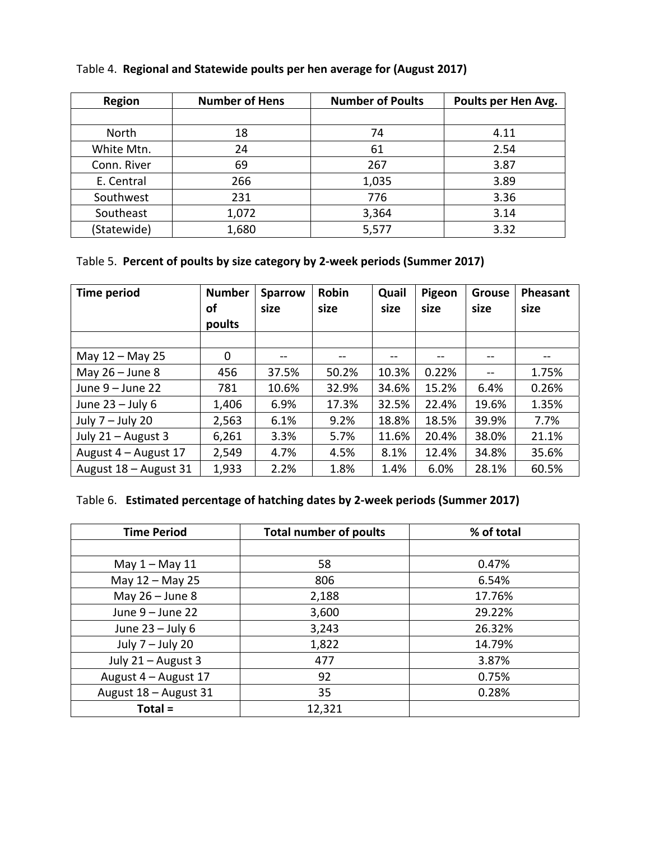| <b>Region</b> | <b>Number of Hens</b> | <b>Number of Poults</b> | Poults per Hen Avg. |
|---------------|-----------------------|-------------------------|---------------------|
|               |                       |                         |                     |
| North         | 18                    | 74                      | 4.11                |
| White Mtn.    | 24                    | 61                      | 2.54                |
| Conn. River   | 69                    | 267                     | 3.87                |
| E. Central    | 266                   | 1,035                   | 3.89                |
| Southwest     | 231                   | 776                     | 3.36                |
| Southeast     | 1,072                 | 3,364                   | 3.14                |
| (Statewide)   | 1,680                 | 5,577                   | 3.32                |

#### Table 4. **Regional and Statewide poults per hen average for (August 2017)**

# Table 5. **Percent of poults by size category by 2‐week periods (Summer 2017)**

| Time period           | <b>Number</b><br>οf<br>poults | <b>Sparrow</b><br>size | Robin<br>size | Quail<br>size | Pigeon<br>size | <b>Grouse</b><br>size | Pheasant<br>size |
|-----------------------|-------------------------------|------------------------|---------------|---------------|----------------|-----------------------|------------------|
|                       |                               |                        |               |               |                |                       |                  |
| May 12 - May 25       | $\Omega$                      | $- -$                  | --            | --            | --             |                       |                  |
| May $26 -$ June 8     | 456                           | 37.5%                  | 50.2%         | 10.3%         | 0.22%          | $- -$                 | 1.75%            |
| June $9 -$ June 22    | 781                           | 10.6%                  | 32.9%         | 34.6%         | 15.2%          | 6.4%                  | 0.26%            |
| June $23 -$ July 6    | 1,406                         | 6.9%                   | 17.3%         | 32.5%         | 22.4%          | 19.6%                 | 1.35%            |
| July $7 -$ July 20    | 2,563                         | 6.1%                   | 9.2%          | 18.8%         | 18.5%          | 39.9%                 | 7.7%             |
| July $21 -$ August 3  | 6,261                         | 3.3%                   | 5.7%          | 11.6%         | 20.4%          | 38.0%                 | 21.1%            |
| August 4 – August 17  | 2,549                         | 4.7%                   | 4.5%          | 8.1%          | 12.4%          | 34.8%                 | 35.6%            |
| August 18 - August 31 | 1,933                         | 2.2%                   | 1.8%          | 1.4%          | 6.0%           | 28.1%                 | 60.5%            |

# Table 6. **Estimated percentage of hatching dates by 2‐week periods (Summer 2017)**

| <b>Time Period</b>    | <b>Total number of poults</b> | % of total |
|-----------------------|-------------------------------|------------|
|                       |                               |            |
| May $1 -$ May $11$    | 58                            | 0.47%      |
| May 12 - May 25       | 806                           | 6.54%      |
| May $26 -$ June 8     | 2,188                         | 17.76%     |
| June $9 -$ June 22    | 3,600                         | 29.22%     |
| June $23 -$ July 6    | 3,243                         | 26.32%     |
| July 7 - July 20      | 1,822                         | 14.79%     |
| July 21 - August 3    | 477                           | 3.87%      |
| August 4 - August 17  | 92                            | 0.75%      |
| August 18 - August 31 | 35                            | 0.28%      |
| $Total =$             | 12,321                        |            |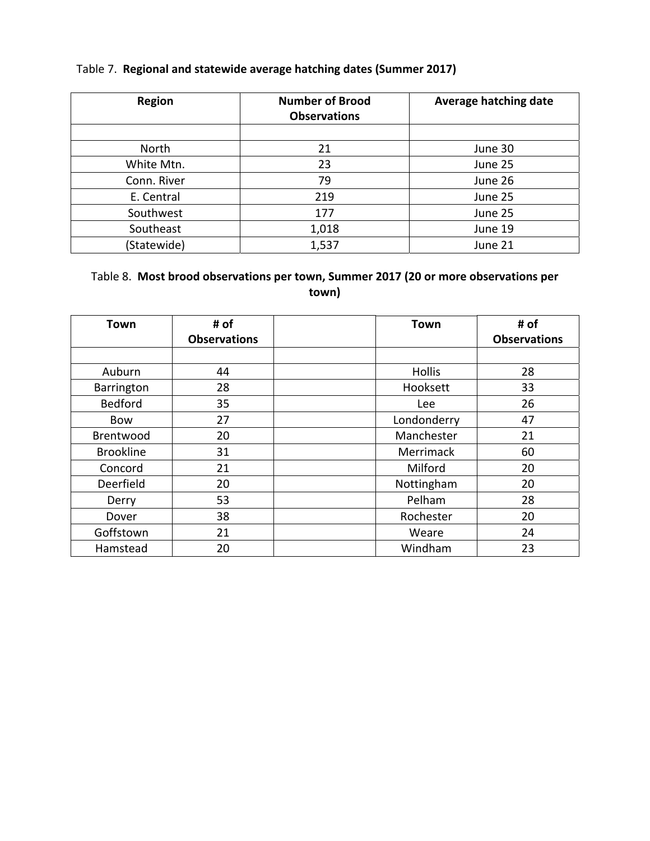### Table 7. **Regional and statewide average hatching dates (Summer 2017)**

| <b>Region</b> | <b>Number of Brood</b><br><b>Observations</b> | Average hatching date |
|---------------|-----------------------------------------------|-----------------------|
|               |                                               |                       |
| North         | 21                                            | June 30               |
| White Mtn.    | 23                                            | June 25               |
| Conn. River   | 79                                            | June 26               |
| E. Central    | 219                                           | June 25               |
| Southwest     | 177                                           | June 25               |
| Southeast     | 1,018                                         | June 19               |
| (Statewide)   | 1,537                                         | June 21               |

## Table 8. **Most brood observations per town, Summer 2017 (20 or more observations per town)**

| Town             | # of                | <b>Town</b>   | # of                |
|------------------|---------------------|---------------|---------------------|
|                  | <b>Observations</b> |               | <b>Observations</b> |
|                  |                     |               |                     |
| Auburn           | 44                  | <b>Hollis</b> | 28                  |
| Barrington       | 28                  | Hooksett      | 33                  |
| Bedford          | 35                  | Lee           | 26                  |
| <b>Bow</b>       | 27                  | Londonderry   | 47                  |
| Brentwood        | 20                  | Manchester    | 21                  |
| <b>Brookline</b> | 31                  | Merrimack     | 60                  |
| Concord          | 21                  | Milford       | 20                  |
| Deerfield        | 20                  | Nottingham    | 20                  |
| Derry            | 53                  | Pelham        | 28                  |
| Dover            | 38                  | Rochester     | 20                  |
| Goffstown        | 21                  | Weare         | 24                  |
| Hamstead         | 20                  | Windham       | 23                  |